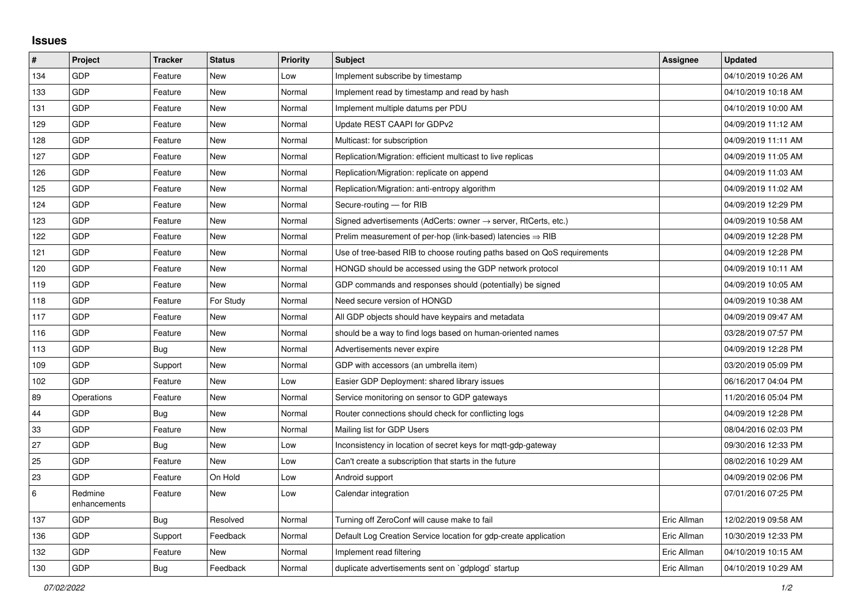## **Issues**

| #     | Project                 | <b>Tracker</b> | <b>Status</b> | Priority | <b>Subject</b>                                                             | Assignee    | <b>Updated</b>      |
|-------|-------------------------|----------------|---------------|----------|----------------------------------------------------------------------------|-------------|---------------------|
| 134   | GDP                     | Feature        | <b>New</b>    | Low      | Implement subscribe by timestamp                                           |             | 04/10/2019 10:26 AM |
| 133   | GDP                     | Feature        | <b>New</b>    | Normal   | Implement read by timestamp and read by hash                               |             | 04/10/2019 10:18 AM |
| 131   | GDP                     | Feature        | <b>New</b>    | Normal   | Implement multiple datums per PDU                                          |             | 04/10/2019 10:00 AM |
| 129   | GDP                     | Feature        | <b>New</b>    | Normal   | Update REST CAAPI for GDPv2                                                |             | 04/09/2019 11:12 AM |
| 128   | GDP                     | Feature        | <b>New</b>    | Normal   | Multicast: for subscription                                                |             | 04/09/2019 11:11 AM |
| 127   | GDP                     | Feature        | <b>New</b>    | Normal   | Replication/Migration: efficient multicast to live replicas                |             | 04/09/2019 11:05 AM |
| 126   | GDP                     | Feature        | <b>New</b>    | Normal   | Replication/Migration: replicate on append                                 |             | 04/09/2019 11:03 AM |
| 125   | GDP                     | Feature        | New           | Normal   | Replication/Migration: anti-entropy algorithm                              |             | 04/09/2019 11:02 AM |
| 124   | GDP                     | Feature        | New           | Normal   | Secure-routing - for RIB                                                   |             | 04/09/2019 12:29 PM |
| 123   | GDP                     | Feature        | <b>New</b>    | Normal   | Signed advertisements (AdCerts: owner $\rightarrow$ server, RtCerts, etc.) |             | 04/09/2019 10:58 AM |
| 122   | GDP                     | Feature        | <b>New</b>    | Normal   | Prelim measurement of per-hop (link-based) latencies $\Rightarrow$ RIB     |             | 04/09/2019 12:28 PM |
| 121   | GDP                     | Feature        | New           | Normal   | Use of tree-based RIB to choose routing paths based on QoS requirements    |             | 04/09/2019 12:28 PM |
| 120   | GDP                     | Feature        | <b>New</b>    | Normal   | HONGD should be accessed using the GDP network protocol                    |             | 04/09/2019 10:11 AM |
| 119   | GDP                     | Feature        | New           | Normal   | GDP commands and responses should (potentially) be signed                  |             | 04/09/2019 10:05 AM |
| 118   | GDP                     | Feature        | For Study     | Normal   | Need secure version of HONGD                                               |             | 04/09/2019 10:38 AM |
| 117   | GDP                     | Feature        | <b>New</b>    | Normal   | All GDP objects should have keypairs and metadata                          |             | 04/09/2019 09:47 AM |
| 116   | GDP                     | Feature        | <b>New</b>    | Normal   | should be a way to find logs based on human-oriented names                 |             | 03/28/2019 07:57 PM |
| 113   | GDP                     | Bug            | <b>New</b>    | Normal   | Advertisements never expire                                                |             | 04/09/2019 12:28 PM |
| 109   | GDP                     | Support        | <b>New</b>    | Normal   | GDP with accessors (an umbrella item)                                      |             | 03/20/2019 05:09 PM |
| 102   | GDP                     | Feature        | <b>New</b>    | Low      | Easier GDP Deployment: shared library issues                               |             | 06/16/2017 04:04 PM |
| 89    | Operations              | Feature        | <b>New</b>    | Normal   | Service monitoring on sensor to GDP gateways                               |             | 11/20/2016 05:04 PM |
| 44    | GDP                     | <b>Bug</b>     | <b>New</b>    | Normal   | Router connections should check for conflicting logs                       |             | 04/09/2019 12:28 PM |
| 33    | GDP                     | Feature        | <b>New</b>    | Normal   | Mailing list for GDP Users                                                 |             | 08/04/2016 02:03 PM |
| 27    | GDP                     | <b>Bug</b>     | New           | Low      | Inconsistency in location of secret keys for mqtt-gdp-gateway              |             | 09/30/2016 12:33 PM |
| 25    | GDP                     | Feature        | <b>New</b>    | Low      | Can't create a subscription that starts in the future                      |             | 08/02/2016 10:29 AM |
| 23    | GDP                     | Feature        | On Hold       | Low      | Android support                                                            |             | 04/09/2019 02:06 PM |
| $\,6$ | Redmine<br>enhancements | Feature        | New           | Low      | Calendar integration                                                       |             | 07/01/2016 07:25 PM |
| 137   | GDP                     | Bug            | Resolved      | Normal   | Turning off ZeroConf will cause make to fail                               | Eric Allman | 12/02/2019 09:58 AM |
| 136   | GDP                     | Support        | Feedback      | Normal   | Default Log Creation Service location for gdp-create application           | Eric Allman | 10/30/2019 12:33 PM |
| 132   | GDP                     | Feature        | <b>New</b>    | Normal   | Implement read filtering                                                   | Eric Allman | 04/10/2019 10:15 AM |
| 130   | GDP                     | Bug            | Feedback      | Normal   | duplicate advertisements sent on `gdplogd` startup                         | Eric Allman | 04/10/2019 10:29 AM |